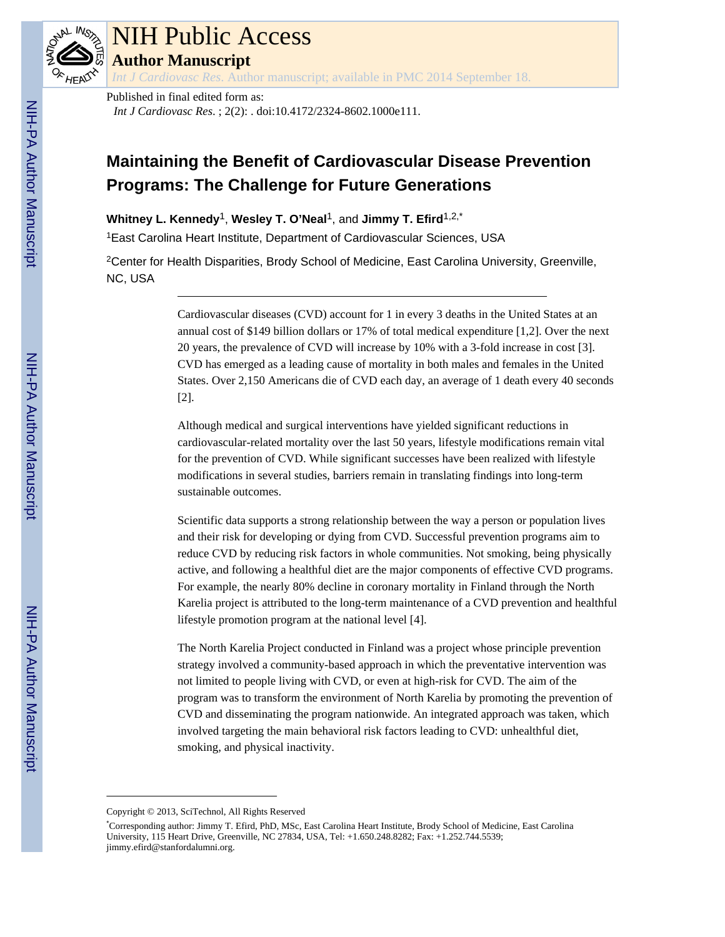

## NIH Public Access

**Author Manuscript**

*Int J Cardiovasc Res*. Author manuscript; available in PMC 2014 September 18.

Published in final edited form as:

*Int J Cardiovasc Res*. ; 2(2): . doi:10.4172/2324-8602.1000e111.

## **Maintaining the Benefit of Cardiovascular Disease Prevention Programs: The Challenge for Future Generations**

**Whitney L. Kennedy**1, **Wesley T. O'Neal**1, and **Jimmy T. Efird**1,2,\*

<sup>1</sup>East Carolina Heart Institute, Department of Cardiovascular Sciences, USA

<sup>2</sup>Center for Health Disparities, Brody School of Medicine, East Carolina University, Greenville, NC, USA

> Cardiovascular diseases (CVD) account for 1 in every 3 deaths in the United States at an annual cost of \$149 billion dollars or 17% of total medical expenditure [1,2]. Over the next 20 years, the prevalence of CVD will increase by 10% with a 3-fold increase in cost [3]. CVD has emerged as a leading cause of mortality in both males and females in the United States. Over 2,150 Americans die of CVD each day, an average of 1 death every 40 seconds [2].

Although medical and surgical interventions have yielded significant reductions in cardiovascular-related mortality over the last 50 years, lifestyle modifications remain vital for the prevention of CVD. While significant successes have been realized with lifestyle modifications in several studies, barriers remain in translating findings into long-term sustainable outcomes.

Scientific data supports a strong relationship between the way a person or population lives and their risk for developing or dying from CVD. Successful prevention programs aim to reduce CVD by reducing risk factors in whole communities. Not smoking, being physically active, and following a healthful diet are the major components of effective CVD programs. For example, the nearly 80% decline in coronary mortality in Finland through the North Karelia project is attributed to the long-term maintenance of a CVD prevention and healthful lifestyle promotion program at the national level [4].

The North Karelia Project conducted in Finland was a project whose principle prevention strategy involved a community-based approach in which the preventative intervention was not limited to people living with CVD, or even at high-risk for CVD. The aim of the program was to transform the environment of North Karelia by promoting the prevention of CVD and disseminating the program nationwide. An integrated approach was taken, which involved targeting the main behavioral risk factors leading to CVD: unhealthful diet, smoking, and physical inactivity.

Copyright © 2013, SciTechnol, All Rights Reserved

<sup>\*</sup>Corresponding author: Jimmy T. Efird, PhD, MSc, East Carolina Heart Institute, Brody School of Medicine, East Carolina University, 115 Heart Drive, Greenville, NC 27834, USA, Tel: +1.650.248.8282; Fax: +1.252.744.5539; jimmy.efird@stanfordalumni.org.